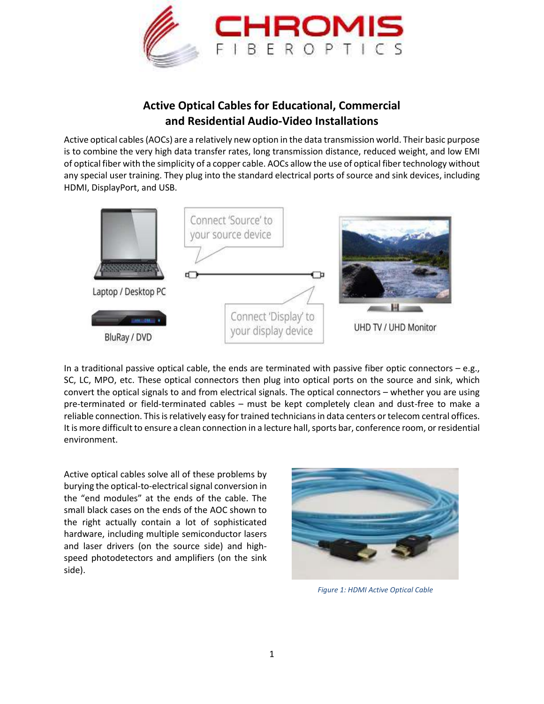

## **Active Optical Cables for Educational, Commercial and Residential Audio-Video Installations**

Active optical cables (AOCs) are a relatively new option in the data transmission world. Their basic purpose is to combine the very high data transfer rates, long transmission distance, reduced weight, and low EMI of optical fiber with the simplicity of a copper cable. AOCs allow the use of optical fiber technology without any special user training. They plug into the standard electrical ports of source and sink devices, including HDMI, DisplayPort, and USB.



In a traditional passive optical cable, the ends are terminated with passive fiber optic connectors  $-e.g.,$ SC, LC, MPO, etc. These optical connectors then plug into optical ports on the source and sink, which convert the optical signals to and from electrical signals. The optical connectors – whether you are using pre-terminated or field-terminated cables – must be kept completely clean and dust-free to make a reliable connection. This is relatively easy for trained technicians in data centers or telecom central offices. It is more difficult to ensure a clean connection in a lecture hall, sports bar, conference room, or residential environment.

Active optical cables solve all of these problems by burying the optical-to-electrical signal conversion in the "end modules" at the ends of the cable. The small black cases on the ends of the AOC shown to the right actually contain a lot of sophisticated hardware, including multiple semiconductor lasers and laser drivers (on the source side) and highspeed photodetectors and amplifiers (on the sink side).



*Figure 1: HDMI Active Optical Cable*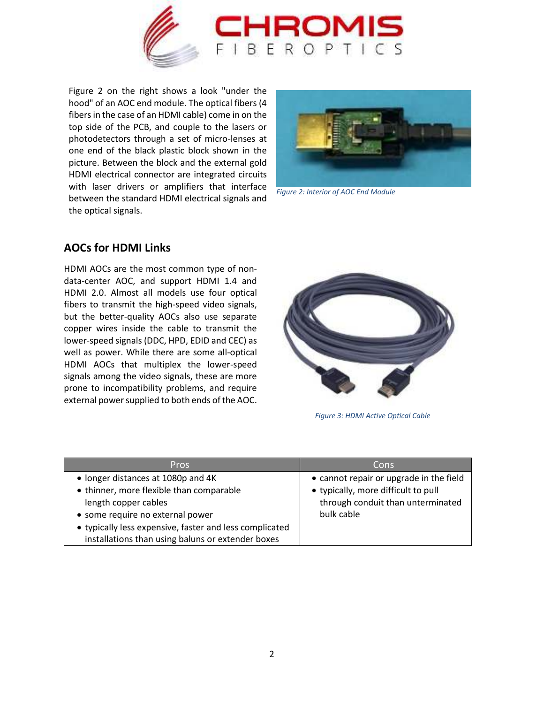

Figure 2 on the right shows a look "under the hood" of an AOC end module. The optical fibers (4 fibers in the case of an HDMI cable) come in on the top side of the PCB, and couple to the lasers or photodetectors through a set of micro-lenses at one end of the black plastic block shown in the picture. Between the block and the external gold HDMI electrical connector are integrated circuits with laser drivers or amplifiers that interface between the standard HDMI electrical signals and the optical signals.



*Figure 2: Interior of AOC End Module*

## **AOCs for HDMI Links**

HDMI AOCs are the most common type of nondata-center AOC, and support HDMI 1.4 and HDMI 2.0. Almost all models use four optical fibers to transmit the high-speed video signals, but the better-quality AOCs also use separate copper wires inside the cable to transmit the lower-speed signals (DDC, HPD, EDID and CEC) as well as power. While there are some all-optical HDMI AOCs that multiplex the lower-speed signals among the video signals, these are more prone to incompatibility problems, and require external power supplied to both ends of the AOC.



*Figure 3: HDMI Active Optical Cable*

| <b>Pros</b>                                             | Cons                                    |
|---------------------------------------------------------|-----------------------------------------|
| • longer distances at 1080p and 4K                      | • cannot repair or upgrade in the field |
| • thinner, more flexible than comparable                | • typically, more difficult to pull     |
| length copper cables                                    | through conduit than unterminated       |
| • some require no external power                        | bulk cable                              |
| • typically less expensive, faster and less complicated |                                         |
| installations than using baluns or extender boxes       |                                         |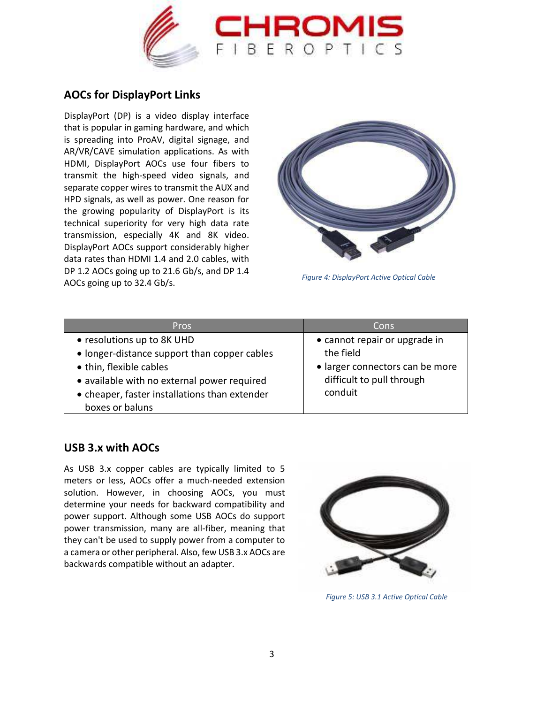

## **AOCs for DisplayPort Links**

DisplayPort (DP) is a video display interface that is popular in gaming hardware, and which is spreading into ProAV, digital signage, and AR/VR/CAVE simulation applications. As with HDMI, DisplayPort AOCs use four fibers to transmit the high-speed video signals, and separate copper wires to transmit the AUX and HPD signals, as well as power. One reason for the growing popularity of DisplayPort is its technical superiority for very high data rate transmission, especially 4K and 8K video. DisplayPort AOCs support considerably higher data rates than HDMI 1.4 and 2.0 cables, with DP 1.2 AOCs going up to 21.6 Gb/s, and DP 1.4 AOCs going up to 32.4 Gb/s. *Figure 4: DisplayPort Active Optical Cable*



| <b>Pros</b>                                                                                                                                                                                                              | Cons                                                                                                                  |
|--------------------------------------------------------------------------------------------------------------------------------------------------------------------------------------------------------------------------|-----------------------------------------------------------------------------------------------------------------------|
| • resolutions up to 8K UHD<br>• longer-distance support than copper cables<br>• thin, flexible cables<br>• available with no external power required<br>• cheaper, faster installations than extender<br>boxes or baluns | • cannot repair or upgrade in<br>the field<br>• larger connectors can be more<br>difficult to pull through<br>conduit |

## **USB 3.x with AOCs**

As USB 3.x copper cables are typically limited to 5 meters or less, AOCs offer a much-needed extension solution. However, in choosing AOCs, you must determine your needs for backward compatibility and power support. Although some USB AOCs do support power transmission, many are all-fiber, meaning that they can't be used to supply power from a computer to a camera or other peripheral. Also, few USB 3.x AOCs are backwards compatible without an adapter.



*Figure 5: USB 3.1 Active Optical Cable*